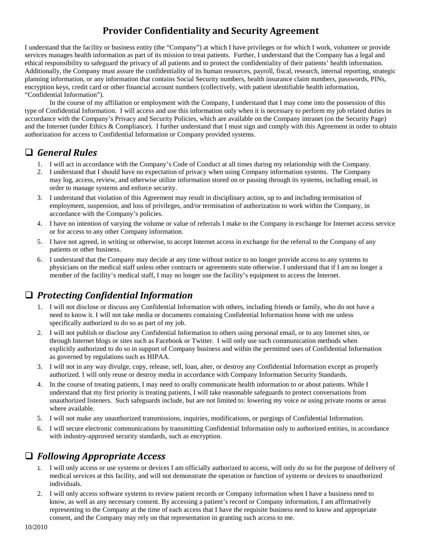# **Provider Confidentiality and Security Agreement**

I understand that the facility or business entity (the "Company") at which I have privileges or for which I work, volunteer or provide services manages health information as part of its mission to treat patients. Further, I understand that the Company has a legal and ethical responsibility to safeguard the privacy of all patients and to protect the confidentiality of their patients' health information. Additionally, the Company must assure the confidentiality of its human resources, payroll, fiscal, research, internal reporting, strategic planning information, or any information that contains Social Security numbers, health insurance claim numbers, passwords, PINs, encryption keys, credit card or other financial account numbers (collectively, with patient identifiable health information, "Confidential Information").

In the course of my affiliation or employment with the Company, I understand that I may come into the possession of this type of Confidential Information. I will access and use this information only when it is necessary to perform my job related duties in accordance with the Company's Privacy and Security Policies, which are available on the Company intranet (on the Security Page) and the Internet (under Ethics & Compliance). I further understand that I must sign and comply with this Agreement in order to obtain authorization for access to Confidential Information or Company provided systems.

#### *General Rules*

- 1. I will act in accordance with the Company's Code of Conduct at all times during my relationship with the Company.
- 2. I understand that I should have no expectation of privacy when using Company information systems. The Company may log, access, review, and otherwise utilize information stored on or passing through its systems, including email, in order to manage systems and enforce security.
- 3. I understand that violation of this Agreement may result in disciplinary action, up to and including termination of employment, suspension, and loss of privileges, and/or termination of authorization to work within the Company, in accordance with the Company's policies.
- 4. I have no intention of varying the volume or value of referrals I make to the Company in exchange for Internet access service or for access to any other Company information.
- 5. I have not agreed, in writing or otherwise, to accept Internet access in exchange for the referral to the Company of any patients or other business.
- 6. I understand that the Company may decide at any time without notice to no longer provide access to any systems to physicians on the medical staff unless other contracts or agreements state otherwise. I understand that if I am no longer a member of the facility's medical staff, I may no longer use the facility's equipment to access the Internet.

# *Protecting Confidential Information*

- 1. I will not disclose or discuss any Confidential Information with others, including friends or family, who do not have a need to know it. I will not take media or documents containing Confidential Information home with me unless specifically authorized to do so as part of my job.
- 2. I will not publish or disclose any Confidential Information to others using personal email, or to any Internet sites, or through Internet blogs or sites such as Facebook or Twitter. I will only use such communication methods when explicitly authorized to do so in support of Company business and within the permitted uses of Confidential Information as governed by regulations such as HIPAA.
- 3. I will not in any way divulge, copy, release, sell, loan, alter, or destroy any Confidential Information except as properly authorized. I will only reuse or destroy media in accordance with Company Information Security Standards.
- 4. In the course of treating patients, I may need to orally communicate health information to or about patients. While I understand that my first priority is treating patients, I will take reasonable safeguards to protect conversations from unauthorized listeners. Such safeguards include, but are not limited to: lowering my voice or using private rooms or areas where available.
- 5. I will not make any unauthorized transmissions, inquiries, modifications, or purgings of Confidential Information.
- 6. I will secure electronic communications by transmitting Confidential Information only to authorized entities, in accordance with industry-approved security standards, such as encryption.

# *Following Appropriate Access*

- 1. I will only access or use systems or devices I am officially authorized to access, will only do so for the purpose of delivery of medical services at this facility, and will not demonstrate the operation or function of systems or devices to unauthorized individuals.
- 2. I will only access software systems to review patient records or Company information when I have a business need to know, as well as any necessary consent. By accessing a patient's record or Company information, I am affirmatively representing to the Company at the time of each access that I have the requisite business need to know and appropriate consent, and the Company may rely on that representation in granting such access to me.